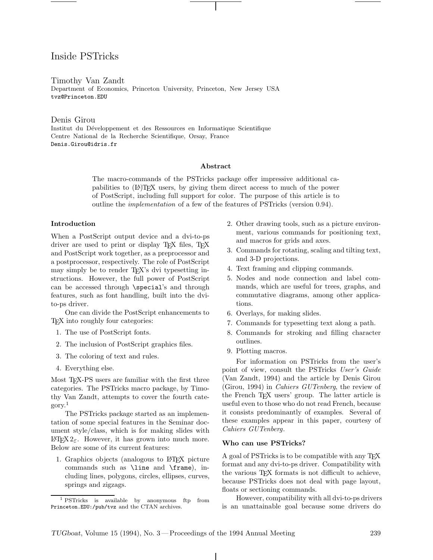# Inside PSTricks

Timothy Van Zandt Department of Economics, Princeton University, Princeton, New Jersey USA tvz@Princeton.EDU

Denis Girou Institut du Développement et des Ressources en Informatique Scientifique Centre National de la Recherche Scientifique, Orsay, France Denis.Girou@idris.fr

### Abstract

The macro-commands of the PSTricks package offer impressive additional capabilities to (LA)TEX users, by giving them direct access to much of the power of PostScript, including full support for color. The purpose of this article is to outline the implementation of a few of the features of PSTricks (version 0.94).

### Introduction

When a PostScript output device and a dvi-to-ps driver are used to print or display T<sub>E</sub>X files, T<sub>E</sub>X and PostScript work together, as a preprocessor and a postprocessor, respectively. The role of PostScript may simply be to render TFX's dvi typesetting instructions. However, the full power of PostScript can be accessed through \special's and through features, such as font handling, built into the dvito-ps driver.

One can divide the PostScript enhancements to TEX into roughly four categories:

- 1. The use of PostScript fonts.
- 2. The inclusion of PostScript graphics files.
- 3. The coloring of text and rules.
- 4. Everything else.

Most T<sub>E</sub>X-PS users are familiar with the first three categories. The PSTricks macro package, by Timothy Van Zandt, attempts to cover the fourth category.<sup>1</sup>

The PSTricks package started as an implementation of some special features in the Seminar document style/class, which is for making slides with LAT<sub>E</sub>X 2<sub>ε</sub>. However, it has grown into much more. Below are some of its current features:

1. Graphics objects (analogous to L<sup>A</sup>TEX picture commands such as \line and \frame), including lines, polygons, circles, ellipses, curves, springs and zigzags.

- 2. Other drawing tools, such as a picture environment, various commands for positioning text, and macros for grids and axes.
- 3. Commands for rotating, scaling and tilting text, and 3-D projections.
- 4. Text framing and clipping commands.
- 5. Nodes and node connection and label commands, which are useful for trees, graphs, and commutative diagrams, among other applications.
- 6. Overlays, for making slides.
- 7. Commands for typesetting text along a path.
- 8. Commands for stroking and filling character outlines.
- 9. Plotting macros.

For information on PSTricks from the user's point of view, consult the PSTricks User's Guide (Van Zandt, 1994) and the article by Denis Girou (Girou, 1994) in Cahiers GUTenberg, the review of the French TEX users' group. The latter article is useful even to those who do not read French, because it consists predominantly of examples. Several of these examples appear in this paper, courtesy of Cahiers GUTenberg.

### Who can use PSTricks?

A goal of PSTricks is to be compatible with any TEX format and any dvi-to-ps driver. Compatibility with the various TEX formats is not difficult to achieve, because PSTricks does not deal with page layout, floats or sectioning commands.

However, compatibility with all dvi-to-ps drivers is an unattainable goal because some drivers do

<sup>1</sup> PSTricks is available by anonymous ftp from Princeton.EDU:/pub/tvz and the CTAN archives.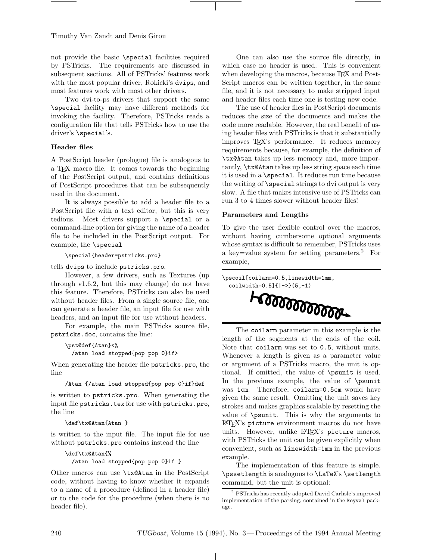Timothy Van Zandt and Denis Girou

not provide the basic \special facilities required by PSTricks. The requirements are discussed in subsequent sections. All of PSTricks' features work with the most popular driver, Rokicki's dvips, and most features work with most other drivers.

Two dvi-to-ps drivers that support the same \special facility may have different methods for invoking the facility. Therefore, PSTricks reads a configuration file that tells PSTricks how to use the driver's \special's.

### Header files

A PostScript header (prologue) file is analogous to a TEX macro file. It comes towards the beginning of the PostScript output, and contains definitions of PostScript procedures that can be subsequently used in the document.

It is always possible to add a header file to a PostScript file with a text editor, but this is very tedious. Most drivers support a \special or a command-line option for giving the name of a header file to be included in the PostScript output. For example, the \special

\special{header=pstricks.pro}

tells dvips to include pstricks.pro.

However, a few drivers, such as Textures (up through v1.6.2, but this may change) do not have this feature. Therefore, PSTricks can also be used without header files. From a single source file, one can generate a header file, an input file for use with headers, and an input file for use without headers.

For example, the main PSTricks source file, pstricks.doc, contains the line:

```
\pst@def{Atan}<%
 /atan load stopped{pop pop 0}if>
```
When generating the header file pstricks.pro, the line

/Atan {/atan load stopped{pop pop 0}if}def

is written to pstricks.pro. When generating the input file pstricks.tex for use with pstricks.pro, the line

\def\tx@Atan{Atan }

is written to the input file. The input file for use without pstricks.pro contains instead the line

### \def\tx@Atan{%

/atan load stopped{pop pop 0}if }

Other macros can use \tx@Atan in the PostScript code, without having to know whether it expands to a name of a procedure (defined in a header file) or to the code for the procedure (when there is no header file).

One can also use the source file directly, in which case no header is used. This is convenient when developing the macros, because T<sub>E</sub>X and Post-Script macros can be written together, in the same file, and it is not necessary to make stripped input and header files each time one is testing new code.

The use of header files in PostScript documents reduces the size of the documents and makes the code more readable. However, the real benefit of using header files with PSTricks is that it substantially improves TEX's performance. It reduces memory requirements because, for example, the definition of \tx@Atan takes up less memory and, more importantly, \tx@Atan takes up less string space each time it is used in a \special. It reduces run time because the writing of \special strings to dvi output is very slow. A file that makes intensive use of PSTricks can run 3 to 4 times slower without header files!

### Parameters and Lengths

To give the user flexible control over the macros, without having cumbersome optional arguments whose syntax is difficult to remember, PSTricks uses a key=value system for setting parameters.<sup>2</sup> For example,

\pscoil[coilarm=0.5,linewidth=1mm, coilwidth=0.5]{|->}(5,-1)<br> **EXPORT ON THE SET ON THE SET ON THE SET ON THE SET ON THE SET ON THE SET ON THE SET OF SHIP SET OF SHIP SET OF SHIP SET OF SHIP SET OF SHIP SET OF SHIP SET OF SHIP SET OF SHIP SET OF SHIP SET OF** 

The coilarm parameter in this example is the length of the segments at the ends of the coil. Note that coilarm was set to 0.5, without units. Whenever a length is given as a parameter value or argument of a PSTricks macro, the unit is optional. If omitted, the value of \psunit is used. In the previous example, the value of \psunit was 1cm. Therefore, coilarm=0.5cm would have given the same result. Omitting the unit saves key strokes and makes graphics scalable by resetting the value of \psunit. This is why the arguments to L<sup>A</sup>TEX's picture environment macros do not have units. However, unlike LATFX's picture macros, with PSTricks the unit can be given explicitly when convenient, such as linewidth=1mm in the previous example.

The implementation of this feature is simple. \pssetlength is analogous to \LaTeX's \setlength command, but the unit is optional:

<sup>2</sup> PSTricks has recently adopted David Carlisle's improved implementation of the parsing, contained in the keyval package.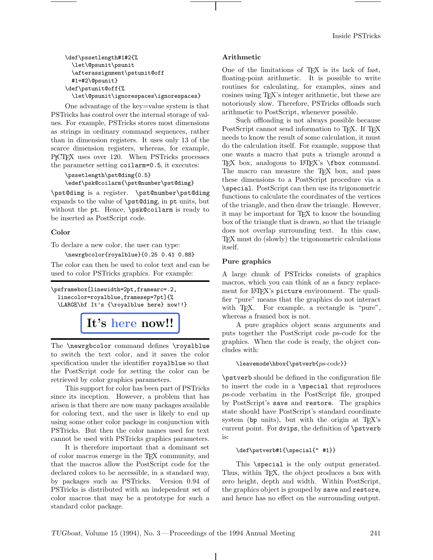```
\def\pssetlength#1#2{%
  \let\@psunit\psunit
  \afterassignment\pstunit@off
 #1=#2\@psunit}
\def\pstunit@off{%
  \let\@psunit\ignorespaces\ignorespaces}
```
One advantage of the key=value system is that PSTricks has control over the internal storage of values. For example, PSTricks stores most dimensions as strings in ordinary command sequences, rather than in dimension registers. It uses only 13 of the scarce dimension registers, whereas, for example, PICTEX uses over 120. When PSTricks processes the parameter setting coilarm=0.5, it executes:

```
\pssetlength\pst@dimg{0.5}
\edef\psk@coilarm{\pst@number\pst@dimg}
```
\pst@dimg is a register. \pst@number\pst@dimg expands to the value of \pst@dimg, in pt units, but without the pt. Hence, \psk@coilarm is ready to be inserted as PostScript code.

### Color

To declare a new color, the user can type:

\newrgbcolor{royalblue}{0.25 0.41 0.88}

The color can then be used to color text and can be used to color PSTricks graphics. For example:

\psframebox[linewidth=2pt,framearc=.2, linecolor=royalblue,framesep=7pt]{% \LARGE\bf It's {\royalblue here} now!!}



The \newrgbcolor command defines \royalblue to switch the text color, and it saves the color specification under the identifier royalblue so that the PostScript code for setting the color can be retrieved by color graphics parameters.

This support for color has been part of PSTricks since its inception. However, a problem that has arisen is that there are now many packages available for coloring text, and the user is likely to end up using some other color package in conjunction with PSTricks. But then the color names used for text cannot be used with PSTricks graphics parameters.

It is therefore important that a dominant set of color macros emerge in the TEX community, and that the macros allow the PostScript code for the declared colors to be accessible, in a standard way, by packages such as PSTricks. Version 0.94 of PSTricks is distributed with an independent set of color macros that may be a prototype for such a standard color package.

### Arithmetic

One of the limitations of T<sub>E</sub>X is its lack of fast, floating-point arithmetic. It is possible to write routines for calculating, for examples, sines and cosines using TEX's integer arithmetic, but these are notoriously slow. Therefore, PSTricks offloads such arithmetic to PostScript, whenever possible.

Such offloading is not always possible because PostScript cannot send information to T<sub>EX</sub>. If T<sub>EX</sub> needs to know the result of some calculation, it must do the calculation itself. For example, suppose that one wants a macro that puts a triangle around a TEX box, analogous to LATEX's **\fbox** command. The macro can measure the T<sub>EX</sub> box, and pass these dimensions to a PostScript procedure via a \special. PostScript can then use its trigonometric functions to calculate the coordinates of the vertices of the triangle, and then draw the triangle. However, it may be important for TEX to know the bounding box of the triangle that is drawn, so that the triangle does not overlap surrounding text. In this case, TEX must do (slowly) the trigonometric calculations itself.

### Pure graphics

A large chunk of PSTricks consists of graphics macros, which you can think of as a fancy replacement for LAT<sub>E</sub>X's picture environment. The qualifier "pure" means that the graphics do not interact with T<sub>E</sub>X. For example, a rectangle is "pure", whereas a framed box is not.

A pure graphics object scans arguments and puts together the PostScript code ps-code for the graphics. When the code is ready, the object concludes with:

### \leavemode\hbox{\pstverb{ps-code}}

\pstverb should be defined in the configuration file to insert the code in a \special that reproduces ps-code verbatim in the PostScript file, grouped by PostScript's save and restore. The graphics state should have PostScript's standard coordinate system (bp units), but with the origin at  $T_F X$ 's current point. For dvips, the definition of \pstverb is:

### \def\pstverb#1{\special{" #1}}

This \special is the only output generated. Thus, within TEX, the object produces a box with zero height, depth and width. Within PostScript, the graphics object is grouped by save and restore, and hence has no effect on the surrounding output.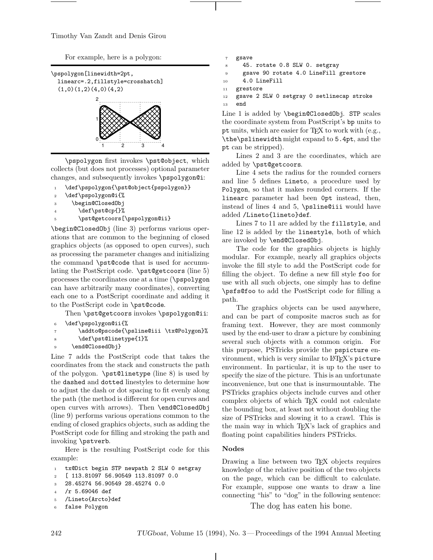For example, here is a polygon:



\pspolygon first invokes \pst@object, which collects (but does not processes) optional parameter changes, and subsequently invokes \pspolygon@i:

- <sup>1</sup> \def\pspolygon{\pst@object{pspolygon}}
- <sup>2</sup> \def\pspolygon@i{%
- <sup>3</sup> \begin@ClosedObj
- 4 \def\pst@cp{}%
- <sup>5</sup> \pst@getcoors[\pspolygon@ii}

\begin@ClosedObj (line 3) performs various operations that are common to the beginning of closed graphics objects (as opposed to open curves), such as processing the parameter changes and initializing the command \pst@code that is used for accumulating the PostScript code. \pst@getcoors (line 5) processes the coordinates one at a time (\pspolygon can have arbitrarily many coordinates), converting each one to a PostScript coordinate and adding it to the PostScript code in \pst@code.

Then \pst@getcoors invokes \pspolygon@ii:

<sup>6</sup> \def\pspolygon@ii{%

```
\addto@pscode{\psline@iii \tx@Polygon}%
```
\def\pst@linetype{1}%

```
\end@ClosedObj}
```
Line 7 adds the PostScript code that takes the coordinates from the stack and constructs the path of the polygon. \pst@linetype (line 8) is used by the dashed and dotted linestyles to determine how to adjust the dash or dot spacing to fit evenly along the path (the method is different for open curves and open curves with arrows). Then \end@ClosedObj (line 9) performs various operations common to the ending of closed graphics objects, such as adding the PostScript code for filling and stroking the path and invoking \pstverb.

Here is the resulting PostScript code for this example:

- <sup>1</sup> tx@Dict begin STP newpath 2 SLW 0 setgray
- <sup>2</sup> [ 113.81097 56.90549 113.81097 0.0
- <sup>3</sup> 28.45274 56.90549 28.45274 0.0
- $/r$  5.69046 def
- <sup>5</sup> /Lineto{Arcto}def
- false Polygon
- <sup>7</sup> gsave
- <sup>8</sup> 45. rotate 0.8 SLW 0. setgray
- <sup>9</sup> gsave 90 rotate 4.0 LineFill grestore
- <sup>10</sup> 4.0 LineFill
- <sup>11</sup> grestore
- 12 gsave 2 SLW 0 setgray 0 setlinecap stroke <sup>13</sup> end

Line 1 is added by \begin@ClosedObj. STP scales the coordinate system from PostScript's bp units to pt units, which are easier for TEX to work with (e.g., \the\pslinewidth might expand to 5.4pt, and the pt can be stripped).

Lines 2 and 3 are the coordinates, which are added by \pst@getcoors.

Line 4 sets the radius for the rounded corners and line 5 defines Lineto, a procedure used by Polygon, so that it makes rounded corners. If the linearc parameter had been 0pt instead, then, instead of lines 4 and 5, \psline@iii would have added /Lineto{lineto}def.

Lines 7 to 11 are added by the fillstyle, and line 12 is added by the linestyle, both of which are invoked by \end@ClosedObj.

The code for the graphics objects is highly modular. For example, nearly all graphics objects invoke the fill style to add the PostScript code for filling the object. To define a new fill style foo for use with all such objects, one simply has to define \psfs@foo to add the PostScript code for filling a path.

The graphics objects can be used anywhere, and can be part of composite macros such as for framing text. However, they are most commonly used by the end-user to draw a picture by combining several such objects with a common origin. For this purpose, PSTricks provide the pspicture environment, which is very similar to LAT<sub>EX</sub>'s picture environment. In particular, it is up to the user to specify the size of the picture. This is an unfortunate inconvenience, but one that is insurmountable. The PSTricks graphics objects include curves and other complex objects of which TEX could not calculate the bounding box, at least not without doubling the size of PSTricks and slowing it to a crawl. This is the main way in which TEX's lack of graphics and floating point capabilities hinders PSTricks.

### Nodes

Drawing a line between two T<sub>EX</sub> objects requires knowledge of the relative position of the two objects on the page, which can be difficult to calculate. For example, suppose one wants to draw a line connecting "his" to "dog" in the following sentence:

The dog has eaten his bone.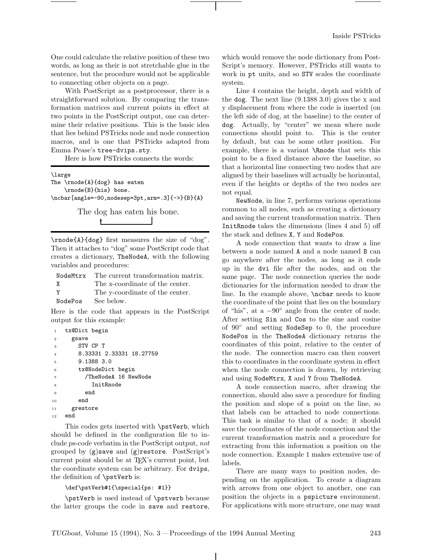One could calculate the relative position of these two words, as long as their is not stretchable glue in the sentence, but the procedure would not be applicable to connecting other objects on a page.

With PostScript as a postprocessor, there is a straightforward solution. By comparing the transformation matrices and current points in effect at two points in the PostScript output, one can determine their relative positions. This is the basic idea that lies behind PSTricks node and node connection macros, and is one that PSTricks adapted from Emma Pease's tree-dvips.sty.

Here is how PSTricks connects the words:

| \large                                                    |                                  |  |  |  |  |
|-----------------------------------------------------------|----------------------------------|--|--|--|--|
|                                                           | The $\rceil(A)$ $\log$ has eaten |  |  |  |  |
|                                                           | \rnode{B}{his} bone.             |  |  |  |  |
| $\n\cdot \frac{angle=-90, nodesep=3pt, arm=.3]{-}>{B}{A}$ |                                  |  |  |  |  |
|                                                           |                                  |  |  |  |  |

The dog has eaten his bone.

\rnode{A}{dog} first measures the size of "dog". Then it attaches to "dog" some PostScript code that creates a dictionary, TheNodeA, with the following variables and procedures:

|         | NodeMtrx The current transformation matrix. |
|---------|---------------------------------------------|
| X       | The x-coordinate of the center.             |
|         | The y-coordinate of the center.             |
| NodePos | See below.                                  |

Here is the code that appears in the PostScript output for this example:

```
1 tx@Dict begin
2 gsave
3 STV CP T
4 8.33331 2.33331 18.27759
5 9.1388 3.0
6 tx@NodeDict begin
       7 /TheNodeA 16 NewNode
8 InitRnode
9 end
10 end
11 grestore
12 end
```
This codes gets inserted with \pstVerb, which should be defined in the configuration file to include ps-code verbatim in the PostScript output, not grouped by (g)save and (g)restore. PostScript's current point should be at TEX's current point, but the coordinate system can be arbitrary. For dvips, the definition of \pstVerb is:

### \def\pstVerb#1{\special{ps: #1}}

\pstVerb is used instead of \pstverb because the latter groups the code in save and restore, which would remove the node dictionary from Post-Script's memory. However, PSTricks still wants to work in pt units, and so STV scales the coordinate system.

Line 4 contains the height, depth and width of the dog. The next line (9.1388 3.0) gives the x and y displacement from where the code is inserted (on the left side of dog, at the baseline) to the center of dog. Actually, by "center" we mean where node connections should point to. This is the center by default, but can be some other position. For example, there is a variant \Rnode that sets this point to be a fixed distance above the baseline, so that a horizontal line connecting two nodes that are aligned by their baselines will actually be horizontal, even if the heights or depths of the two nodes are not equal.

NewNode, in line 7, performs various operations common to all nodes, such as creating a dictionary and saving the current transformation matrix. Then InitRnode takes the dimensions (lines 4 and 5) off the stack and defines X, Y and NodePos.

A node connection that wants to draw a line between a node named A and a node named B can go anywhere after the nodes, as long as it ends up in the dvi file after the nodes, and on the same page. The node connection queries the node dictionaries for the information needed to draw the line. In the example above, \ncbar needs to know the coordinate of the point that lies on the boundary of "his", at a −90◦ angle from the center of node. After setting Sin and Cos to the sine and cosine of 90◦ and setting NodeSep to 0, the procedure NodePos in the TheNodeA dictionary returns the coordinates of this point, relative to the center of the node. The connection macro can then convert this to coordinates in the coordinate system in effect when the node connection is drawn, by retrieving and using NodeMtrx, X and Y from TheNodeA.

A node connection macro, after drawing the connection, should also save a procedure for finding the position and slope of a point on the line, so that labels can be attached to node connections. This task is similar to that of a node; it should save the coordinates of the node connection and the current transformation matrix and a procedure for extracting from this information a position on the node connection. Example 1 makes extensive use of labels.

There are many ways to position nodes, depending on the application. To create a diagram with arrows from one object to another, one can position the objects in a pspicture environment. For applications with more structure, one may want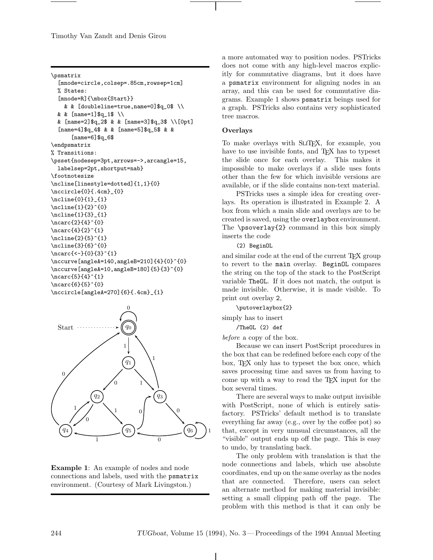Timothy Van Zandt and Denis Girou

```
\psmatrix
  [mnode=circle,colsep=.85cm,rowsep=1cm]
  % States:
  [mnode=R]{\mbox{Start}}
    & & [doubleline=true,name=0]$q_0$ \\
  & & [name=1]$q_1$\\
  & [name=2]$q_2$ & & [name=3]$q_3$ \\[0pt]
  [name=4]$q_4$ & & [name=5]$q_5$ & &
      [name=6]$q_6$
\endpsmatrix
% Transitions:
\psset{nodesep=3pt,arrows=->,arcangle=15,
 labelsep=2pt,shortput=nab}
\footnotesize
\ncline[linestyle=dotted]{1,1}{0}
\nccircle{0}{.4cm}_{0}
\ncline{0}{1}_{1}
\ncline{1}{2}^{0}
\ncline{1}{3}_{1}
\ncarc{2}{4}^{0}
\ncarc{4}{2}^{1}
\ncline{2}{5}^{1}
\ncline{3}{6}^{0}
\ncarc{<-}{0}{3}^{1}
\nccurve[angleA=140,angleB=210]{4}{0}^{0}
\nccurve[angleA=10,angleB=180]{5}{3}^{0}
\ncarc{5}{4}^{1}
\ncarc{6}{5}^{0}
\nccircle[angleA=270]{6}{.4cm}_{1}
```




a more automated way to position nodes. PSTricks does not come with any high-level macros explicitly for commutative diagrams, but it does have a psmatrix environment for aligning nodes in an array, and this can be used for commutative diagrams. Example 1 shows psmatrix beings used for a graph. PSTricks also contains very sophisticated tree macros.

## **Overlays**

To make overlays with SLITEX, for example, you have to use invisible fonts, and T<sub>E</sub>X has to typeset the slide once for each overlay. This makes it impossible to make overlays if a slide uses fonts other than the few for which invisible versions are available, or if the slide contains non-text material.

PSTricks uses a simple idea for creating overlays. Its operation is illustrated in Example 2. A box from which a main slide and overlays are to be created is saved, using the overlaybox environment. The \psoverlay{2} command in this box simply inserts the code

(2) BeginOL

and similar code at the end of the current T<sub>E</sub>X group to revert to the main overlay. BeginOL compares the string on the top of the stack to the PostScript variable TheOL. If it does not match, the output is made invisible. Otherwise, it is made visible. To print out overlay 2,

```
\putoverlaybox{2}
```
simply has to insert

/TheOL (2) def

before a copy of the box.

Because we can insert PostScript procedures in the box that can be redefined before each copy of the box, TEX only has to typeset the box once, which saves processing time and saves us from having to come up with a way to read the TEX input for the box several times.

There are several ways to make output invisible with PostScript, none of which is entirely satisfactory. PSTricks' default method is to translate everything far away (e.g., over by the coffee pot) so that, except in very unusual circumstances, all the "visible" output ends up off the page. This is easy to undo, by translating back.

The only problem with translation is that the node connections and labels, which use absolute coordinates, end up on the same overlay as the nodes that are connected. Therefore, users can select an alternate method for making material invisible: setting a small clipping path off the page. The problem with this method is that it can only be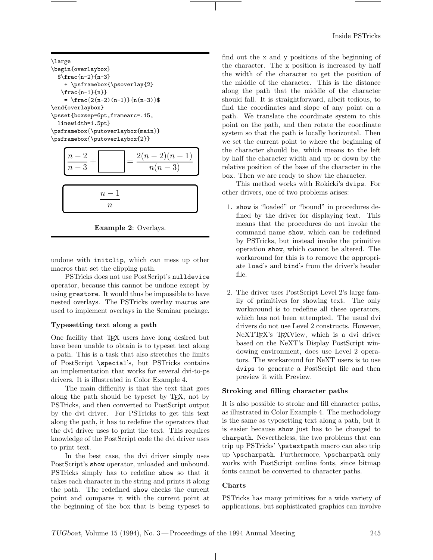| \large                                                              |  |  |  |  |
|---------------------------------------------------------------------|--|--|--|--|
| \begin{overlaybox}                                                  |  |  |  |  |
| $\frac{\n\nn-2}{n-3}$                                               |  |  |  |  |
| + \psframebox{\psoverlay{2}                                         |  |  |  |  |
| $\frac{1}{n}$                                                       |  |  |  |  |
| $= \frac{2(n-2)(n-1)}{n(n-3)}$                                      |  |  |  |  |
| \end{overlaybox}                                                    |  |  |  |  |
| \psset{boxsep=6pt,framearc=.15,                                     |  |  |  |  |
| linewidth=1.5pt}                                                    |  |  |  |  |
| \psframebox{\putoverlaybox{main}}<br>\psframebox{\putoverlaybox{2}} |  |  |  |  |
|                                                                     |  |  |  |  |



Example 2: Overlays.

undone with initclip, which can mess up other macros that set the clipping path.

PSTricks does not use PostScript's nulldevice operator, because this cannot be undone except by using grestore. It would thus be impossible to have nested overlays. The PSTricks overlay macros are used to implement overlays in the Seminar package.

### Typesetting text along a path

One facility that T<sub>EX</sub> users have long desired but have been unable to obtain is to typeset text along a path. This is a task that also stretches the limits of PostScript \special's, but PSTricks contains an implementation that works for several dvi-to-ps drivers. It is illustrated in Color Example 4.

The main difficulty is that the text that goes along the path should be typeset by TEX, not by PSTricks, and then converted to PostScript output by the dvi driver. For PSTricks to get this text along the path, it has to redefine the operators that the dvi driver uses to print the text. This requires knowledge of the PostScript code the dvi driver uses to print text.

In the best case, the dvi driver simply uses PostScript's show operator, unloaded and unbound. PSTricks simply has to redefine show so that it takes each character in the string and prints it along the path. The redefined show checks the current point and compares it with the current point at the beginning of the box that is being typeset to

find out the x and y positions of the beginning of the character. The x position is increased by half the width of the character to get the position of the middle of the character. This is the distance along the path that the middle of the character should fall. It is straightforward, albeit tedious, to find the coordinates and slope of any point on a path. We translate the coordinate system to this point on the path, and then rotate the coordinate system so that the path is locally horizontal. Then we set the current point to where the beginning of the character should be, which means to the left by half the character width and up or down by the relative position of the base of the character in the box. Then we are ready to show the character.

This method works with Rokicki's dvips. For other drivers, one of two problems arises:

- 1. show is "loaded" or "bound" in procedures defined by the driver for displaying text. This means that the procedures do not invoke the command name show, which can be redefined by PSTricks, but instead invoke the primitive operation show, which cannot be altered. The workaround for this is to remove the appropriate load's and bind's from the driver's header file.
- 2. The driver uses PostScript Level 2's large family of primitives for showing text. The only workaround is to redefine all these operators, which has not been attempted. The usual dvi drivers do not use Level 2 constructs. However, NeXTTEX's TEXView, which is a dvi driver based on the NeXT's Display PostScript windowing environment, does use Level 2 operators. The workaround for NeXT users is to use dvips to generate a PostScript file and then preview it with Preview.

### Stroking and filling character paths

It is also possible to stroke and fill character paths, as illustrated in Color Example 4. The methodology is the same as typesetting text along a path, but it is easier because show just has to be changed to charpath. Nevertheless, the two problems that can trip up PSTricks' \pstextpath macro can also trip up \pscharpath. Furthermore, \pscharpath only works with PostScript outline fonts, since bitmap fonts cannot be converted to character paths.

### Charts

PSTricks has many primitives for a wide variety of applications, but sophisticated graphics can involve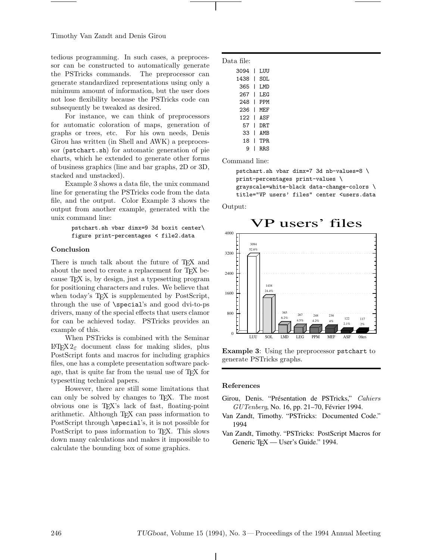tedious programming. In such cases, a preprocessor can be constructed to automatically generate the PSTricks commands. The preprocessor can generate standardized representations using only a minimum amount of information, but the user does not lose flexibility because the PSTricks code can subsequently be tweaked as desired.

For instance, we can think of preprocessors for automatic coloration of maps, generation of graphs or trees, etc. For his own needs, Denis Girou has written (in Shell and AWK) a preprocessor (pstchart.sh) for automatic generation of pie charts, which he extended to generate other forms of business graphics (line and bar graphs, 2D or 3D, stacked and unstacked).

Example 3 shows a data file, the unix command line for generating the PSTricks code from the data file, and the output. Color Example 3 shows the output from another example, generated with the unix command line:

### pstchart.sh vbar dimx=9 3d boxit center\ figure print-percentages < file2.data

### Conclusion

There is much talk about the future of T<sub>F</sub>X and about the need to create a replacement for TFX because TEX is, by design, just a typesetting program for positioning characters and rules. We believe that when today's T<sub>EX</sub> is supplemented by PostScript, through the use of \special's and good dvi-to-ps drivers, many of the special effects that users clamor for can be achieved today. PSTricks provides an example of this.

When PSTricks is combined with the Seminar L<sup>A</sup>TEX 2ε document class for making slides, plus PostScript fonts and macros for including graphics files, one has a complete presentation software package, that is quite far from the usual use of TEX for typesetting technical papers.

However, there are still some limitations that can only be solved by changes to TEX. The most obvious one is TEX's lack of fast, floating-point arithmetic. Although TEX can pass information to PostScript through \special's, it is not possible for PostScript to pass information to T<sub>E</sub>X. This slows down many calculations and makes it impossible to calculate the bounding box of some graphics.

#### Data file:

| 3094 L |                          | T.UU       |
|--------|--------------------------|------------|
| 1438   |                          | SOT.       |
| 365 l  |                          | T.MD       |
| 267    | $\overline{\phantom{a}}$ | LEG.       |
| 248 I  |                          | <b>PPM</b> |
| 236 L  |                          | MF.F       |
| 122 l  |                          | ASF        |
| 57     | ı                        | DR.T       |
| 33     | L                        | AMB        |
| 18.    | L                        | TPR.       |
| 9      |                          | <b>RRS</b> |
|        |                          |            |

Command line:

pstchart.sh vbar dimx=7 3d nb-values=8 \ print-percentages print-values \ grayscale=white-black data-change-colors \ title="VP users' files" center <users.data





Example 3: Using the preprocessor pstchart to generate PSTricks graphs.

#### References

- Girou, Denis. "Présentation de PSTricks," Cahiers GUTenberg, No. 16, pp. 21-70, Février 1994.
- Van Zandt, Timothy. "PSTricks: Documented Code." 1994
- Van Zandt, Timothy. "PSTricks: PostScript Macros for Generic TEX — User's Guide." 1994.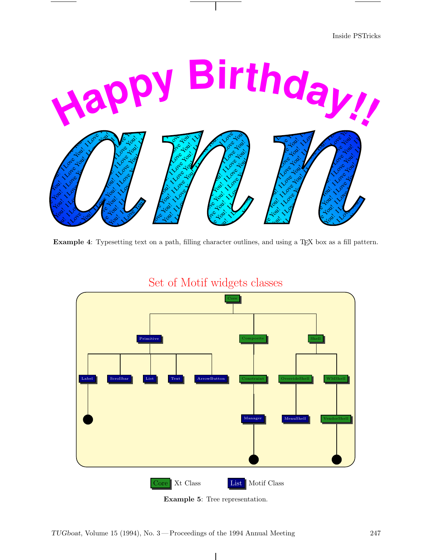Inside PSTricks



Example 4: Typesetting text on a path, filling character outlines, and using a TEX box as a fill pattern.

![](_page_8_Figure_3.jpeg)

Set of Motif widgets classes

Example 5: Tree representation.